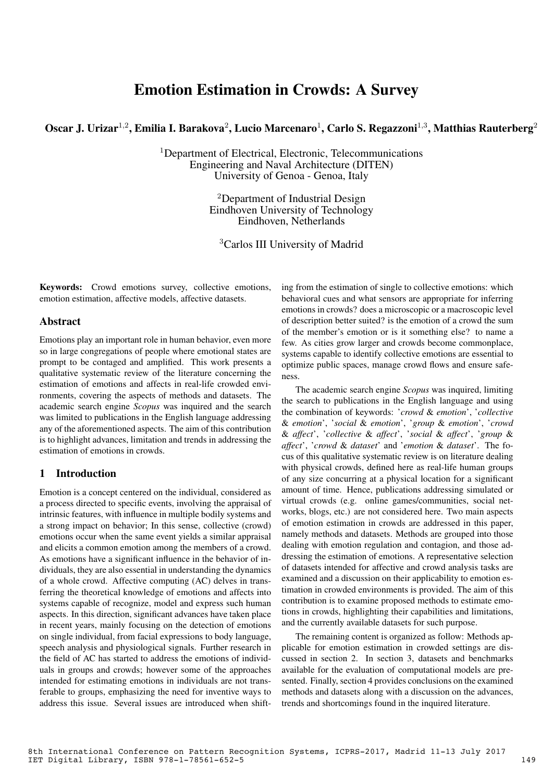# Emotion Estimation in Crowds: A Survey

Oscar J. Urizar<sup>1,2</sup>, Emilia I. Barakova<sup>2</sup>, Lucio Marcenaro<sup>1</sup>, Carlo S. Regazzoni<sup>1,3</sup>, Matthias Rauterberg<sup>2</sup>

<sup>1</sup>Department of Electrical, Electronic, Telecommunications Engineering and Naval Architecture (DITEN) University of Genoa - Genoa, Italy

> <sup>2</sup>Department of Industrial Design Eindhoven University of Technology Eindhoven, Netherlands

<sup>3</sup>Carlos III University of Madrid

Keywords: Crowd emotions survey, collective emotions, emotion estimation, affective models, affective datasets.

## **Abstract**

Emotions play an important role in human behavior, even more so in large congregations of people where emotional states are prompt to be contaged and amplified. This work presents a qualitative systematic review of the literature concerning the estimation of emotions and affects in real-life crowded environments, covering the aspects of methods and datasets. The academic search engine *Scopus* was inquired and the search was limited to publications in the English language addressing any of the aforementioned aspects. The aim of this contribution is to highlight advances, limitation and trends in addressing the estimation of emotions in crowds.

# 1 Introduction

Emotion is a concept centered on the individual, considered as a process directed to specific events, involving the appraisal of intrinsic features, with influence in multiple bodily systems and a strong impact on behavior; In this sense, collective (crowd) emotions occur when the same event yields a similar appraisal and elicits a common emotion among the members of a crowd. As emotions have a significant influence in the behavior of individuals, they are also essential in understanding the dynamics of a whole crowd. Affective computing (AC) delves in transferring the theoretical knowledge of emotions and affects into systems capable of recognize, model and express such human aspects. In this direction, significant advances have taken place in recent years, mainly focusing on the detection of emotions on single individual, from facial expressions to body language, speech analysis and physiological signals. Further research in the field of AC has started to address the emotions of individuals in groups and crowds; however some of the approaches intended for estimating emotions in individuals are not transferable to groups, emphasizing the need for inventive ways to address this issue. Several issues are introduced when shifting from the estimation of single to collective emotions: which behavioral cues and what sensors are appropriate for inferring emotions in crowds? does a microscopic or a macroscopic level of description better suited? is the emotion of a crowd the sum of the member's emotion or is it something else? to name a few. As cities grow larger and crowds become commonplace, systems capable to identify collective emotions are essential to optimize public spaces, manage crowd flows and ensure safeness.

The academic search engine *Scopus* was inquired, limiting the search to publications in the English language and using the combination of keywords: '*crowd* & *emotion*', '*collective* & *emotion*', '*social* & *emotion*', '*group* & *emotion*', '*crowd* & *affect*', '*collective* & *affect*', '*social* & *affect*', '*group* & *affect*', '*crowd* & *dataset*' and '*emotion* & *dataset*'. The focus of this qualitative systematic review is on literature dealing with physical crowds, defined here as real-life human groups of any size concurring at a physical location for a significant amount of time. Hence, publications addressing simulated or virtual crowds (e.g. online games/communities, social networks, blogs, etc.) are not considered here. Two main aspects of emotion estimation in crowds are addressed in this paper, namely methods and datasets. Methods are grouped into those dealing with emotion regulation and contagion, and those addressing the estimation of emotions. A representative selection of datasets intended for affective and crowd analysis tasks are examined and a discussion on their applicability to emotion estimation in crowded environments is provided. The aim of this contribution is to examine proposed methods to estimate emotions in crowds, highlighting their capabilities and limitations, and the currently available datasets for such purpose.

The remaining content is organized as follow: Methods applicable for emotion estimation in crowded settings are discussed in section 2. In section 3, datasets and benchmarks available for the evaluation of computational models are presented. Finally, section 4 provides conclusions on the examined methods and datasets along with a discussion on the advances, trends and shortcomings found in the inquired literature.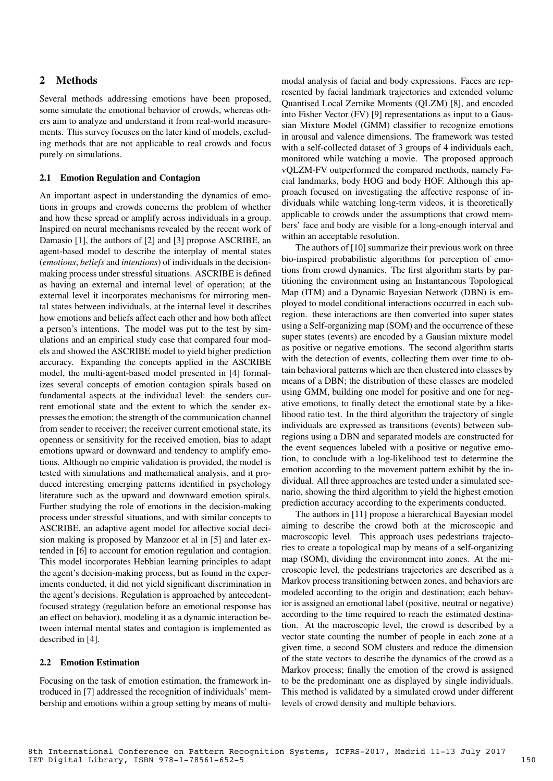# 2 Methods

Several methods addressing emotions have been proposed, some simulate the emotional behavior of crowds, whereas others aim to analyze and understand it from real-world measurements. This survey focuses on the later kind of models, excluding methods that are not applicable to real crowds and focus purely on simulations.

#### 2.1 Emotion Regulation and Contagion

An important aspect in understanding the dynamics of emotions in groups and crowds concerns the problem of whether and how these spread or amplify across individuals in a group. Inspired on neural mechanisms revealed by the recent work of Damasio [1], the authors of [2] and [3] propose ASCRIBE, an agent-based model to describe the interplay of mental states (*emotions*, *beliefs* and *intentions*) of individuals in the decisionmaking process under stressful situations. ASCRIBE is defined as having an external and internal level of operation; at the external level it incorporates mechanisms for mirroring mental states between individuals, at the internal level it describes how emotions and beliefs affect each other and how both affect a person's intentions. The model was put to the test by simulations and an empirical study case that compared four models and showed the ASCRIBE model to yield higher prediction accuracy. Expanding the concepts applied in the ASCRIBE model, the multi-agent-based model presented in [4] formalizes several concepts of emotion contagion spirals based on fundamental aspects at the individual level: the senders current emotional state and the extent to which the sender expresses the emotion; the strength of the communication channel from sender to receiver; the receiver current emotional state, its openness or sensitivity for the received emotion, bias to adapt emotions upward or downward and tendency to amplify emotions. Although no empiric validation is provided, the model is tested with simulations and mathematical analysis, and it produced interesting emerging patterns identified in psychology literature such as the upward and downward emotion spirals. Further studying the role of emotions in the decision-making process under stressful situations, and with similar concepts to ASCRIBE, an adaptive agent model for affective social decision making is proposed by Manzoor et al in [5] and later extended in [6] to account for emotion regulation and contagion. This model incorporates Hebbian learning principles to adapt the agent's decision-making process, but as found in the experiments conducted, it did not yield significant discrimination in the agent's decisions. Regulation is approached by antecedentfocused strategy (regulation before an emotional response has an effect on behavior), modeling it as a dynamic interaction between internal mental states and contagion is implemented as described in [4].

#### 2.2 Emotion Estimation

Focusing on the task of emotion estimation, the framework introduced in [7] addressed the recognition of individuals' membership and emotions within a group setting by means of multi-

modal analysis of facial and body expressions. Faces are represented by facial landmark trajectories and extended volume Quantised Local Zernike Moments (QLZM) [8], and encoded into Fisher Vector (FV) [9] representations as input to a Gaussian Mixture Model (GMM) classifier to recognize emotions in arousal and valence dimensions. The framework was tested with a self-collected dataset of 3 groups of 4 individuals each, monitored while watching a movie. The proposed approach vQLZM-FV outperformed the compared methods, namely Facial landmarks, body HOG and body HOF. Although this approach focused on investigating the affective response of individuals while watching long-term videos, it is theoretically applicable to crowds under the assumptions that crowd members' face and body are visible for a long-enough interval and within an acceptable resolution.

The authors of [10] summarize their previous work on three bio-inspired probabilistic algorithms for perception of emotions from crowd dynamics. The first algorithm starts by partitioning the environment using an Instantaneous Topological Map (ITM) and a Dynamic Bayesian Network (DBN) is employed to model conditional interactions occurred in each subregion. these interactions are then converted into super states using a Self-organizing map (SOM) and the occurrence of these super states (events) are encoded by a Gausian mixture model as positive or negative emotions. The second algorithm starts with the detection of events, collecting them over time to obtain behavioral patterns which are then clustered into classes by means of a DBN; the distribution of these classes are modeled using GMM, building one model for positive and one for negative emotions, to finally detect the emotional state by a likelihood ratio test. In the third algorithm the trajectory of single individuals are expressed as transitions (events) between subregions using a DBN and separated models are constructed for the event sequences labeled with a positive or negative emotion, to conclude with a log-likelihood test to determine the emotion according to the movement pattern exhibit by the individual. All three approaches are tested under a simulated scenario, showing the third algorithm to yield the highest emotion prediction accuracy according to the experiments conducted.

The authors in [11] propose a hierarchical Bayesian model aiming to describe the crowd both at the microscopic and macroscopic level. This approach uses pedestrians trajectories to create a topological map by means of a self-organizing map (SOM), dividing the environment into zones. At the microscopic level, the pedestrians trajectories are described as a Markov process transitioning between zones, and behaviors are modeled according to the origin and destination; each behavior is assigned an emotional label (positive, neutral or negative) according to the time required to reach the estimated destination. At the macroscopic level, the crowd is described by a vector state counting the number of people in each zone at a given time, a second SOM clusters and reduce the dimension of the state vectors to describe the dynamics of the crowd as a Markov process; finally the emotion of the crowd is assigned to be the predominant one as displayed by single individuals. This method is validated by a simulated crowd under different levels of crowd density and multiple behaviors.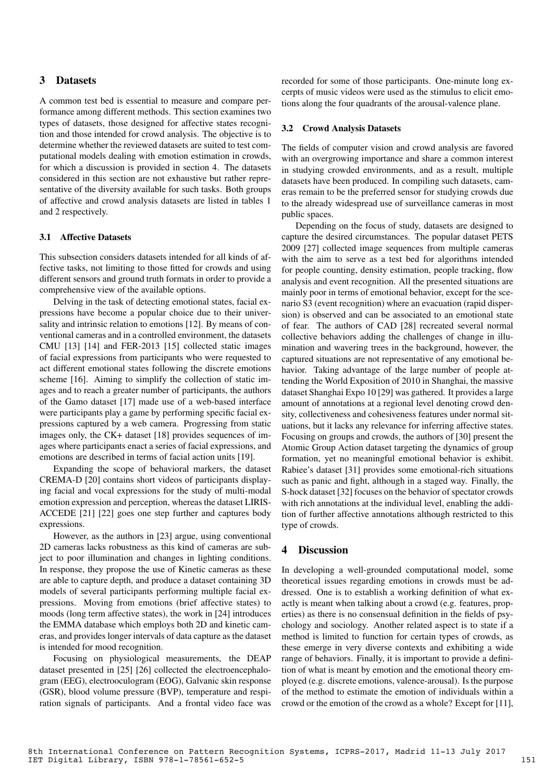## 3 Datasets

A common test bed is essential to measure and compare performance among different methods. This section examines two types of datasets, those designed for affective states recognition and those intended for crowd analysis. The objective is to determine whether the reviewed datasets are suited to test computational models dealing with emotion estimation in crowds, for which a discussion is provided in section 4. The datasets considered in this section are not exhaustive but rather representative of the diversity available for such tasks. Both groups of affective and crowd analysis datasets are listed in tables 1 and 2 respectively.

## 3.1 Affective Datasets

This subsection considers datasets intended for all kinds of affective tasks, not limiting to those fitted for crowds and using different sensors and ground truth formats in order to provide a comprehensive view of the available options.

Delving in the task of detecting emotional states, facial expressions have become a popular choice due to their universality and intrinsic relation to emotions [12]. By means of conventional cameras and in a controlled environment, the datasets CMU [13] [14] and FER-2013 [15] collected static images of facial expressions from participants who were requested to act different emotional states following the discrete emotions scheme [16]. Aiming to simplify the collection of static images and to reach a greater number of participants, the authors of the Gamo dataset [17] made use of a web-based interface were participants play a game by performing specific facial expressions captured by a web camera. Progressing from static images only, the CK+ dataset [18] provides sequences of images where participants enact a series of facial expressions, and emotions are described in terms of facial action units [19].

Expanding the scope of behavioral markers, the dataset CREMA-D [20] contains short videos of participants displaying facial and vocal expressions for the study of multi-modal emotion expression and perception, whereas the dataset LIRIS-ACCEDE [21] [22] goes one step further and captures body expressions.

However, as the authors in [23] argue, using conventional 2D cameras lacks robustness as this kind of cameras are subject to poor illumination and changes in lighting conditions. In response, they propose the use of Kinetic cameras as these are able to capture depth, and produce a dataset containing 3D models of several participants performing multiple facial expressions. Moving from emotions (brief affective states) to moods (long term affective states), the work in [24] introduces the EMMA database which employs both 2D and kinetic cameras, and provides longer intervals of data capture as the dataset is intended for mood recognition.

Focusing on physiological measurements, the DEAP dataset presented in [25] [26] collected the electroencephalogram (EEG), electrooculogram (EOG), Galvanic skin response (GSR), blood volume pressure (BVP), temperature and respiration signals of participants. And a frontal video face was

recorded for some of those participants. One-minute long excerpts of music videos were used as the stimulus to elicit emotions along the four quadrants of the arousal-valence plane.

#### 3.2 Crowd Analysis Datasets

The fields of computer vision and crowd analysis are favored with an overgrowing importance and share a common interest in studying crowded environments, and as a result, multiple datasets have been produced. In compiling such datasets, cameras remain to be the preferred sensor for studying crowds due to the already widespread use of surveillance cameras in most public spaces.

Depending on the focus of study, datasets are designed to capture the desired circumstances. The popular dataset PETS 2009 [27] collected image sequences from multiple cameras with the aim to serve as a test bed for algorithms intended for people counting, density estimation, people tracking, flow analysis and event recognition. All the presented situations are mainly poor in terms of emotional behavior, except for the scenario S3 (event recognition) where an evacuation (rapid dispersion) is observed and can be associated to an emotional state of fear. The authors of CAD [28] recreated several normal collective behaviors adding the challenges of change in illumination and wavering trees in the background, however, the captured situations are not representative of any emotional behavior. Taking advantage of the large number of people attending the World Exposition of 2010 in Shanghai, the massive dataset Shanghai Expo 10 [29] was gathered. It provides a large amount of annotations at a regional level denoting crowd density, collectiveness and cohesiveness features under normal situations, but it lacks any relevance for inferring affective states. Focusing on groups and crowds, the authors of [30] present the Atomic Group Action dataset targeting the dynamics of group formation, yet no meaningful emotional behavior is exhibit. Rabiee's dataset [31] provides some emotional-rich situations such as panic and fight, although in a staged way. Finally, the S-hock dataset [32] focuses on the behavior of spectator crowds with rich annotations at the individual level, enabling the addition of further affective annotations although restricted to this type of crowds.

#### 4 Discussion

In developing a well-grounded computational model, some theoretical issues regarding emotions in crowds must be addressed. One is to establish a working definition of what exactly is meant when talking about a crowd (e.g. features, properties) as there is no consensual definition in the fields of psychology and sociology. Another related aspect is to state if a method is limited to function for certain types of crowds, as these emerge in very diverse contexts and exhibiting a wide range of behaviors. Finally, it is important to provide a definition of what is meant by emotion and the emotional theory employed (e.g. discrete emotions, valence-arousal). Is the purpose of the method to estimate the emotion of individuals within a crowd or the emotion of the crowd as a whole? Except for [11],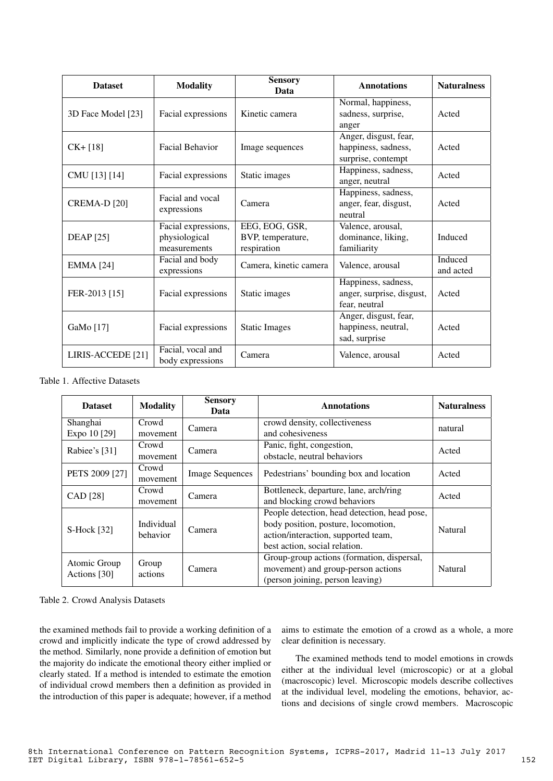| <b>Dataset</b>               | <b>Modality</b>                                      | <b>Sensory</b><br>Data                             | <b>Annotations</b>                                                 | <b>Naturalness</b>   |
|------------------------------|------------------------------------------------------|----------------------------------------------------|--------------------------------------------------------------------|----------------------|
| 3D Face Model [23]           | Facial expressions                                   | Kinetic camera                                     | Normal, happiness,<br>sadness, surprise,<br>anger                  | Acted                |
| $CK + [18]$                  | <b>Facial Behavior</b>                               | Image sequences                                    | Anger, disgust, fear,<br>happiness, sadness,<br>surprise, contempt | Acted                |
| CMU [13] [14]                | Facial expressions                                   | Static images                                      | Happiness, sadness,<br>anger, neutral                              | Acted                |
| <b>CREMA-D [20]</b>          | Facial and vocal<br>expressions                      | Camera                                             | Happiness, sadness,<br>anger, fear, disgust,<br>neutral            | Acted                |
| <b>DEAP</b> [25]             | Facial expressions,<br>physiological<br>measurements | EEG, EOG, GSR,<br>BVP, temperature,<br>respiration | Valence, arousal,<br>dominance, liking,<br>familiarity             | Induced              |
| <b>EMMA</b> [24]             | Facial and body<br>expressions                       | Camera, kinetic camera                             | Valence, arousal                                                   | Induced<br>and acted |
| FER-2013 [15]                | Facial expressions                                   | Static images                                      | Happiness, sadness,<br>anger, surprise, disgust,<br>fear, neutral  | Acted                |
| GaMo [17]                    | Facial expressions                                   | <b>Static Images</b>                               | Anger, disgust, fear,<br>happiness, neutral,<br>sad, surprise      | Acted                |
| LIRIS-ACCEDE <sup>[21]</sup> | Facial, vocal and<br>body expressions                | Camera                                             | Valence, arousal                                                   | Acted                |

Table 1. Affective Datasets

| <b>Dataset</b>               | <b>Modality</b>        | <b>Sensory</b><br>Data | <b>Annotations</b>                                                                                                                                          | <b>Naturalness</b> |
|------------------------------|------------------------|------------------------|-------------------------------------------------------------------------------------------------------------------------------------------------------------|--------------------|
| Shanghai<br>Expo 10 [29]     | Crowd<br>movement      | Camera                 | crowd density, collectiveness<br>and cohesiveness                                                                                                           | natural            |
| Rabiee's [31]                | Crowd<br>movement      | Camera                 | Panic, fight, congestion,<br>obstacle, neutral behaviors                                                                                                    | Acted              |
| PETS 2009 [27]               | Crowd<br>movement      | <b>Image Sequences</b> | Pedestrians' bounding box and location                                                                                                                      | Acted              |
| CAD [28]                     | Crowd<br>movement      | Camera                 | Bottleneck, departure, lane, arch/ring<br>and blocking crowd behaviors                                                                                      | Acted              |
| S-Hock [32]                  | Individual<br>behavior | Camera                 | People detection, head detection, head pose,<br>body position, posture, locomotion,<br>action/interaction, supported team,<br>best action, social relation. | Natural            |
| Atomic Group<br>Actions [30] | Group<br>actions       | Camera                 | Group-group actions (formation, dispersal,<br>movement) and group-person actions<br>(person joining, person leaving)                                        | Natural            |

#### Table 2. Crowd Analysis Datasets

the examined methods fail to provide a working definition of a crowd and implicitly indicate the type of crowd addressed by the method. Similarly, none provide a definition of emotion but the majority do indicate the emotional theory either implied or clearly stated. If a method is intended to estimate the emotion of individual crowd members then a definition as provided in the introduction of this paper is adequate; however, if a method

aims to estimate the emotion of a crowd as a whole, a more clear definition is necessary.

The examined methods tend to model emotions in crowds either at the individual level (microscopic) or at a global (macroscopic) level. Microscopic models describe collectives at the individual level, modeling the emotions, behavior, actions and decisions of single crowd members. Macroscopic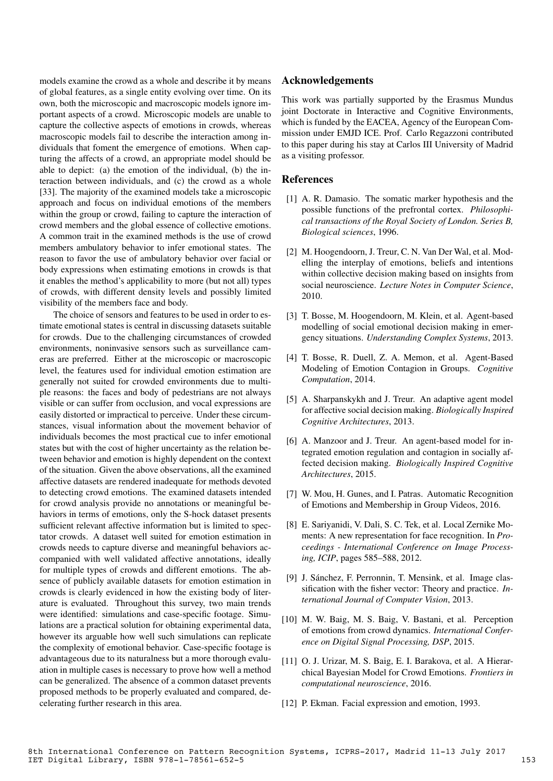models examine the crowd as a whole and describe it by means of global features, as a single entity evolving over time. On its own, both the microscopic and macroscopic models ignore important aspects of a crowd. Microscopic models are unable to capture the collective aspects of emotions in crowds, whereas macroscopic models fail to describe the interaction among individuals that foment the emergence of emotions. When capturing the affects of a crowd, an appropriate model should be able to depict: (a) the emotion of the individual, (b) the interaction between individuals, and (c) the crowd as a whole [33]. The majority of the examined models take a microscopic approach and focus on individual emotions of the members within the group or crowd, failing to capture the interaction of crowd members and the global essence of collective emotions. A common trait in the examined methods is the use of crowd members ambulatory behavior to infer emotional states. The reason to favor the use of ambulatory behavior over facial or body expressions when estimating emotions in crowds is that it enables the method's applicability to more (but not all) types of crowds, with different density levels and possibly limited visibility of the members face and body.

The choice of sensors and features to be used in order to estimate emotional states is central in discussing datasets suitable for crowds. Due to the challenging circumstances of crowded environments, noninvasive sensors such as surveillance cameras are preferred. Either at the microscopic or macroscopic level, the features used for individual emotion estimation are generally not suited for crowded environments due to multiple reasons: the faces and body of pedestrians are not always visible or can suffer from occlusion, and vocal expressions are easily distorted or impractical to perceive. Under these circumstances, visual information about the movement behavior of individuals becomes the most practical cue to infer emotional states but with the cost of higher uncertainty as the relation between behavior and emotion is highly dependent on the context of the situation. Given the above observations, all the examined affective datasets are rendered inadequate for methods devoted to detecting crowd emotions. The examined datasets intended for crowd analysis provide no annotations or meaningful behaviors in terms of emotions, only the S-hock dataset presents sufficient relevant affective information but is limited to spectator crowds. A dataset well suited for emotion estimation in crowds needs to capture diverse and meaningful behaviors accompanied with well validated affective annotations, ideally for multiple types of crowds and different emotions. The absence of publicly available datasets for emotion estimation in crowds is clearly evidenced in how the existing body of literature is evaluated. Throughout this survey, two main trends were identified: simulations and case-specific footage. Simulations are a practical solution for obtaining experimental data, however its arguable how well such simulations can replicate the complexity of emotional behavior. Case-specific footage is advantageous due to its naturalness but a more thorough evaluation in multiple cases is necessary to prove how well a method can be generalized. The absence of a common dataset prevents proposed methods to be properly evaluated and compared, decelerating further research in this area.

## Acknowledgements

This work was partially supported by the Erasmus Mundus joint Doctorate in Interactive and Cognitive Environments, which is funded by the EACEA, Agency of the European Commission under EMJD ICE. Prof. Carlo Regazzoni contributed to this paper during his stay at Carlos III University of Madrid as a visiting professor.

## References

- [1] A. R. Damasio. The somatic marker hypothesis and the possible functions of the prefrontal cortex. *Philosophical transactions of the Royal Society of London. Series B, Biological sciences*, 1996.
- [2] M. Hoogendoorn, J. Treur, C. N. Van Der Wal, et al. Modelling the interplay of emotions, beliefs and intentions within collective decision making based on insights from social neuroscience. *Lecture Notes in Computer Science*, 2010.
- [3] T. Bosse, M. Hoogendoorn, M. Klein, et al. Agent-based modelling of social emotional decision making in emergency situations. *Understanding Complex Systems*, 2013.
- [4] T. Bosse, R. Duell, Z. A. Memon, et al. Agent-Based Modeling of Emotion Contagion in Groups. *Cognitive Computation*, 2014.
- [5] A. Sharpanskykh and J. Treur. An adaptive agent model for affective social decision making. *Biologically Inspired Cognitive Architectures*, 2013.
- [6] A. Manzoor and J. Treur. An agent-based model for integrated emotion regulation and contagion in socially affected decision making. *Biologically Inspired Cognitive Architectures*, 2015.
- [7] W. Mou, H. Gunes, and I. Patras. Automatic Recognition of Emotions and Membership in Group Videos, 2016.
- [8] E. Sariyanidi, V. Dali, S. C. Tek, et al. Local Zernike Moments: A new representation for face recognition. In *Proceedings - International Conference on Image Processing, ICIP*, pages 585–588, 2012.
- [9] J. Sánchez, F. Perronnin, T. Mensink, et al. Image classification with the fisher vector: Theory and practice. *International Journal of Computer Vision*, 2013.
- [10] M. W. Baig, M. S. Baig, V. Bastani, et al. Perception of emotions from crowd dynamics. *International Conference on Digital Signal Processing, DSP*, 2015.
- [11] O. J. Urizar, M. S. Baig, E. I. Barakova, et al. A Hierarchical Bayesian Model for Crowd Emotions. *Frontiers in computational neuroscience*, 2016.
- [12] P. Ekman. Facial expression and emotion, 1993.